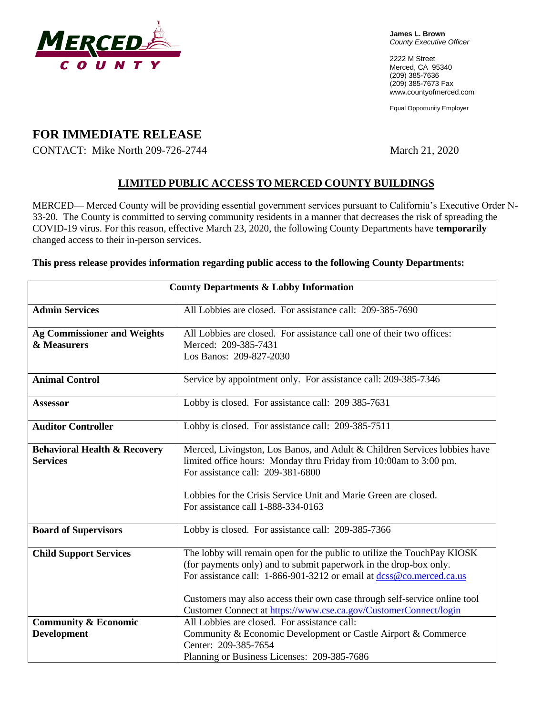

**James L. Brown** *County Executive Officer*

2222 M Street Merced, CA 95340 (209) 385-7636 (209) 385-7673 Fax [www.countyofmerced.com](http://www.co.merced.ca.us/)

Equal Opportunity Employer

## **FOR IMMEDIATE RELEASE**

CONTACT: Mike North 209-726-2744 March 21, 2020

## **LIMITED PUBLIC ACCESS TO MERCED COUNTY BUILDINGS**

MERCED— Merced County will be providing essential government services pursuant to California's Executive Order N-33-20. The County is committed to serving community residents in a manner that decreases the risk of spreading the COVID-19 virus. For this reason, effective March 23, 2020, the following County Departments have **temporarily**  changed access to their in-person services.

| This press release provides information regarding public access to the following County Departments: |  |  |  |
|------------------------------------------------------------------------------------------------------|--|--|--|
|------------------------------------------------------------------------------------------------------|--|--|--|

| <b>County Departments &amp; Lobby Information</b>          |                                                                                                                                                                                                                                                                                                                                                                       |  |
|------------------------------------------------------------|-----------------------------------------------------------------------------------------------------------------------------------------------------------------------------------------------------------------------------------------------------------------------------------------------------------------------------------------------------------------------|--|
| <b>Admin Services</b>                                      | All Lobbies are closed. For assistance call: 209-385-7690                                                                                                                                                                                                                                                                                                             |  |
| <b>Ag Commissioner and Weights</b><br>& Measurers          | All Lobbies are closed. For assistance call one of their two offices:<br>Merced: 209-385-7431<br>Los Banos: 209-827-2030                                                                                                                                                                                                                                              |  |
| <b>Animal Control</b>                                      | Service by appointment only. For assistance call: 209-385-7346                                                                                                                                                                                                                                                                                                        |  |
| <b>Assessor</b>                                            | Lobby is closed. For assistance call: 209 385-7631                                                                                                                                                                                                                                                                                                                    |  |
| <b>Auditor Controller</b>                                  | Lobby is closed. For assistance call: 209-385-7511                                                                                                                                                                                                                                                                                                                    |  |
| <b>Behavioral Health &amp; Recovery</b><br><b>Services</b> | Merced, Livingston, Los Banos, and Adult & Children Services lobbies have<br>limited office hours: Monday thru Friday from 10:00am to 3:00 pm.<br>For assistance call: 209-381-6800<br>Lobbies for the Crisis Service Unit and Marie Green are closed.<br>For assistance call 1-888-334-0163                                                                          |  |
| <b>Board of Supervisors</b>                                | Lobby is closed. For assistance call: 209-385-7366                                                                                                                                                                                                                                                                                                                    |  |
| <b>Child Support Services</b>                              | The lobby will remain open for the public to utilize the TouchPay KIOSK<br>(for payments only) and to submit paperwork in the drop-box only.<br>For assistance call: 1-866-901-3212 or email at dcss@co.merced.ca.us<br>Customers may also access their own case through self-service online tool<br>Customer Connect at https://www.cse.ca.gov/CustomerConnect/login |  |
| <b>Community &amp; Economic</b><br>Development             | All Lobbies are closed. For assistance call:<br>Community & Economic Development or Castle Airport & Commerce<br>Center: 209-385-7654<br>Planning or Business Licenses: 209-385-7686                                                                                                                                                                                  |  |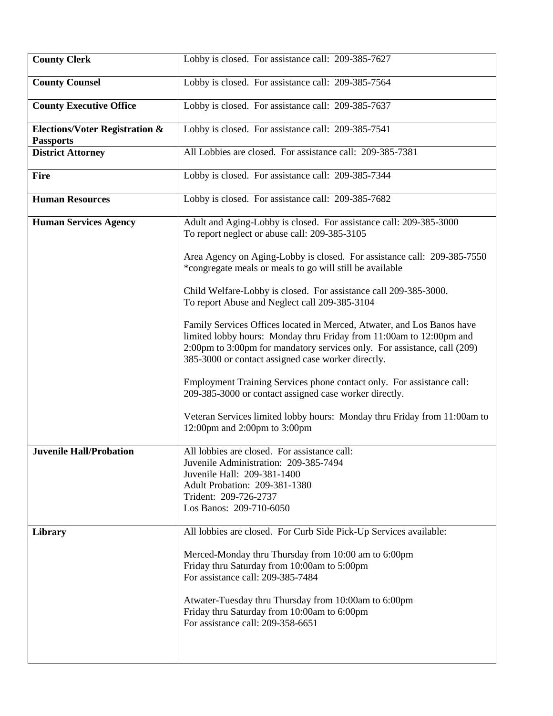| <b>County Clerk</b>                                           | Lobby is closed. For assistance call: 209-385-7627                                                                                                                                                                                                                              |
|---------------------------------------------------------------|---------------------------------------------------------------------------------------------------------------------------------------------------------------------------------------------------------------------------------------------------------------------------------|
| <b>County Counsel</b>                                         | Lobby is closed. For assistance call: 209-385-7564                                                                                                                                                                                                                              |
| <b>County Executive Office</b>                                | Lobby is closed. For assistance call: 209-385-7637                                                                                                                                                                                                                              |
| <b>Elections/Voter Registration &amp;</b><br><b>Passports</b> | Lobby is closed. For assistance call: 209-385-7541                                                                                                                                                                                                                              |
| <b>District Attorney</b>                                      | All Lobbies are closed. For assistance call: 209-385-7381                                                                                                                                                                                                                       |
| <b>Fire</b>                                                   | Lobby is closed. For assistance call: 209-385-7344                                                                                                                                                                                                                              |
| <b>Human Resources</b>                                        | Lobby is closed. For assistance call: 209-385-7682                                                                                                                                                                                                                              |
| <b>Human Services Agency</b>                                  | Adult and Aging-Lobby is closed. For assistance call: 209-385-3000<br>To report neglect or abuse call: 209-385-3105                                                                                                                                                             |
|                                                               | Area Agency on Aging-Lobby is closed. For assistance call: 209-385-7550<br>*congregate meals or meals to go will still be available                                                                                                                                             |
|                                                               | Child Welfare-Lobby is closed. For assistance call 209-385-3000.<br>To report Abuse and Neglect call 209-385-3104                                                                                                                                                               |
|                                                               | Family Services Offices located in Merced, Atwater, and Los Banos have<br>limited lobby hours: Monday thru Friday from 11:00am to 12:00pm and<br>2:00pm to 3:00pm for mandatory services only. For assistance, call (209)<br>385-3000 or contact assigned case worker directly. |
|                                                               | Employment Training Services phone contact only. For assistance call:<br>209-385-3000 or contact assigned case worker directly.                                                                                                                                                 |
|                                                               | Veteran Services limited lobby hours: Monday thru Friday from 11:00am to<br>12:00pm and 2:00pm to 3:00pm                                                                                                                                                                        |
| <b>Juvenile Hall/Probation</b>                                | All lobbies are closed. For assistance call:<br>Juvenile Administration: 209-385-7494<br>Juvenile Hall: 209-381-1400<br><b>Adult Probation: 209-381-1380</b><br>Trident: 209-726-2737<br>Los Banos: 209-710-6050                                                                |
| Library                                                       | All lobbies are closed. For Curb Side Pick-Up Services available:                                                                                                                                                                                                               |
|                                                               | Merced-Monday thru Thursday from 10:00 am to 6:00pm<br>Friday thru Saturday from 10:00am to 5:00pm<br>For assistance call: 209-385-7484                                                                                                                                         |
|                                                               | Atwater-Tuesday thru Thursday from 10:00am to 6:00pm<br>Friday thru Saturday from 10:00am to 6:00pm<br>For assistance call: 209-358-6651                                                                                                                                        |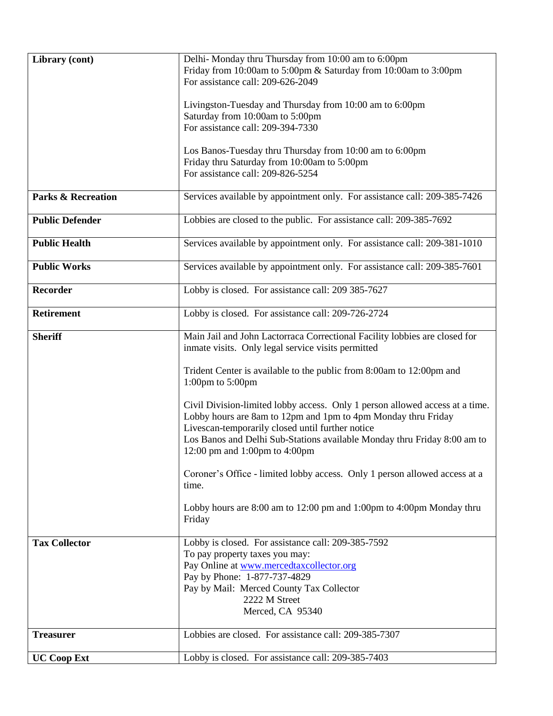| Library (cont)                | Delhi- Monday thru Thursday from 10:00 am to 6:00pm<br>Friday from 10:00am to 5:00pm & Saturday from 10:00am to 3:00pm                                                                                                                                                                                         |
|-------------------------------|----------------------------------------------------------------------------------------------------------------------------------------------------------------------------------------------------------------------------------------------------------------------------------------------------------------|
|                               | For assistance call: 209-626-2049                                                                                                                                                                                                                                                                              |
|                               | Livingston-Tuesday and Thursday from 10:00 am to 6:00pm<br>Saturday from 10:00am to 5:00pm<br>For assistance call: 209-394-7330                                                                                                                                                                                |
|                               | Los Banos-Tuesday thru Thursday from 10:00 am to 6:00pm<br>Friday thru Saturday from 10:00am to 5:00pm<br>For assistance call: 209-826-5254                                                                                                                                                                    |
| <b>Parks &amp; Recreation</b> | Services available by appointment only. For assistance call: 209-385-7426                                                                                                                                                                                                                                      |
| <b>Public Defender</b>        | Lobbies are closed to the public. For assistance call: 209-385-7692                                                                                                                                                                                                                                            |
| <b>Public Health</b>          | Services available by appointment only. For assistance call: 209-381-1010                                                                                                                                                                                                                                      |
| <b>Public Works</b>           | Services available by appointment only. For assistance call: 209-385-7601                                                                                                                                                                                                                                      |
| Recorder                      | Lobby is closed. For assistance call: 209 385-7627                                                                                                                                                                                                                                                             |
| <b>Retirement</b>             | Lobby is closed. For assistance call: 209-726-2724                                                                                                                                                                                                                                                             |
| <b>Sheriff</b>                | Main Jail and John Lactorraca Correctional Facility lobbies are closed for<br>inmate visits. Only legal service visits permitted                                                                                                                                                                               |
|                               | Trident Center is available to the public from 8:00am to 12:00pm and<br>1:00pm to $5:00$ pm                                                                                                                                                                                                                    |
|                               | Civil Division-limited lobby access. Only 1 person allowed access at a time.<br>Lobby hours are 8am to 12pm and 1pm to 4pm Monday thru Friday<br>Livescan-temporarily closed until further notice<br>Los Banos and Delhi Sub-Stations available Monday thru Friday 8:00 am to<br>12:00 pm and 1:00pm to 4:00pm |
|                               | Coroner's Office - limited lobby access. Only 1 person allowed access at a<br>time.                                                                                                                                                                                                                            |
|                               | Lobby hours are 8:00 am to 12:00 pm and 1:00pm to 4:00pm Monday thru<br>Friday                                                                                                                                                                                                                                 |
| <b>Tax Collector</b>          | Lobby is closed. For assistance call: 209-385-7592<br>To pay property taxes you may:                                                                                                                                                                                                                           |
|                               | Pay Online at www.mercedtaxcollector.org                                                                                                                                                                                                                                                                       |
|                               | Pay by Phone: 1-877-737-4829<br>Pay by Mail: Merced County Tax Collector                                                                                                                                                                                                                                       |
|                               | 2222 M Street<br>Merced, CA 95340                                                                                                                                                                                                                                                                              |
|                               | Lobbies are closed. For assistance call: 209-385-7307                                                                                                                                                                                                                                                          |
| <b>Treasurer</b>              |                                                                                                                                                                                                                                                                                                                |
| <b>UC Coop Ext</b>            | Lobby is closed. For assistance call: 209-385-7403                                                                                                                                                                                                                                                             |